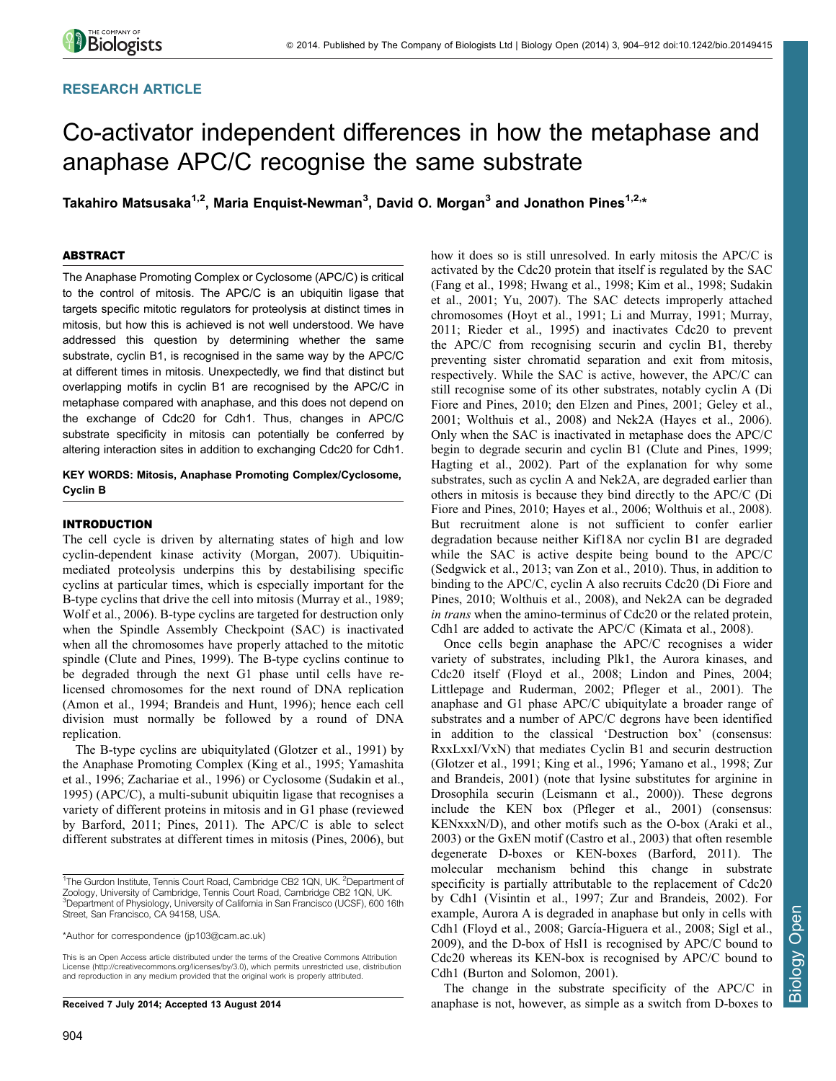## RESEARCH ARTICLE

# Co-activator independent differences in how the metaphase and anaphase APC/C recognise the same substrate

Takahiro Matsusaka<sup>1,2</sup>, Maria Enquist-Newman<sup>3</sup>, David O. Morgan<sup>3</sup> and Jonathon Pines<sup>1,2,</sup>\*

## ABSTRACT

The Anaphase Promoting Complex or Cyclosome (APC/C) is critical to the control of mitosis. The APC/C is an ubiquitin ligase that targets specific mitotic regulators for proteolysis at distinct times in mitosis, but how this is achieved is not well understood. We have addressed this question by determining whether the same substrate, cyclin B1, is recognised in the same way by the APC/C at different times in mitosis. Unexpectedly, we find that distinct but overlapping motifs in cyclin B1 are recognised by the APC/C in metaphase compared with anaphase, and this does not depend on the exchange of Cdc20 for Cdh1. Thus, changes in APC/C substrate specificity in mitosis can potentially be conferred by altering interaction sites in addition to exchanging Cdc20 for Cdh1.

## KEY WORDS: Mitosis, Anaphase Promoting Complex/Cyclosome, Cyclin B

### INTRODUCTION

The cell cycle is driven by alternating states of high and low cyclin-dependent kinase activity ([Morgan, 2007](#page-7-0)). Ubiquitinmediated proteolysis underpins this by destabilising specific cyclins at particular times, which is especially important for the B-type cyclins that drive the cell into mitosis ([Murray et al., 1989](#page-7-0); [Wolf et al., 2006\)](#page-7-0). B-type cyclins are targeted for destruction only when the Spindle Assembly Checkpoint (SAC) is inactivated when all the chromosomes have properly attached to the mitotic spindle ([Clute and Pines, 1999\)](#page-7-0). The B-type cyclins continue to be degraded through the next G1 phase until cells have relicensed chromosomes for the next round of DNA replication ([Amon et al., 1994;](#page-6-0) [Brandeis and Hunt, 1996\)](#page-7-0); hence each cell division must normally be followed by a round of DNA replication.

The B-type cyclins are ubiquitylated [\(Glotzer et al., 1991\)](#page-7-0) by the Anaphase Promoting Complex ([King et al., 1995;](#page-7-0) [Yamashita](#page-8-0) [et al., 1996](#page-8-0); [Zachariae et al., 1996](#page-8-0)) or Cyclosome [\(Sudakin et al.,](#page-7-0) [1995\)](#page-7-0) (APC/C), a multi-subunit ubiquitin ligase that recognises a variety of different proteins in mitosis and in G1 phase (reviewed by [Barford, 2011](#page-7-0); [Pines, 2011](#page-7-0)). The APC/C is able to select different substrates at different times in mitosis [\(Pines, 2006\)](#page-7-0), but

This is an Open Access article distributed under the terms of the Creative Commons Attribution License [\(http://creativecommons.org/licenses/by/3.0\), whi](http://creativecommons.org/licenses/by/3.0)ch permits unrestricted use, distribution and reproduction in any medium provided that the original work is properly attributed.

Received 7 July 2014; Accepted 13 August 2014

how it does so is still unresolved. In early mitosis the APC/C is activated by the Cdc20 protein that itself is regulated by the SAC ([Fang et al., 1998](#page-7-0); [Hwang et al., 1998; Kim et al., 1998](#page-7-0); [Sudakin](#page-7-0) [et al., 2001;](#page-7-0) [Yu, 2007\)](#page-8-0). The SAC detects improperly attached chromosomes ([Hoyt et al., 1991](#page-7-0); [Li and Murray, 1991](#page-7-0); [Murray,](#page-7-0) [2011; Rieder et al., 1995](#page-7-0)) and inactivates Cdc20 to prevent the APC/C from recognising securin and cyclin B1, thereby preventing sister chromatid separation and exit from mitosis, respectively. While the SAC is active, however, the APC/C can still recognise some of its other substrates, notably cyclin A [\(Di](#page-7-0) [Fiore and Pines, 2010](#page-7-0); [den Elzen and Pines, 2001; Geley et al.,](#page-7-0) [2001;](#page-7-0) [Wolthuis et al., 2008\)](#page-8-0) and Nek2A ([Hayes et al., 2006](#page-7-0)). Only when the SAC is inactivated in metaphase does the APC/C begin to degrade securin and cyclin B1 ([Clute and Pines, 1999](#page-7-0); [Hagting et al., 2002\)](#page-7-0). Part of the explanation for why some substrates, such as cyclin A and Nek2A, are degraded earlier than others in mitosis is because they bind directly to the APC/C [\(Di](#page-7-0) [Fiore and Pines, 2010; Hayes et al., 2006](#page-7-0); [Wolthuis et al., 2008](#page-8-0)). But recruitment alone is not sufficient to confer earlier degradation because neither Kif18A nor cyclin B1 are degraded while the SAC is active despite being bound to the APC/C ([Sedgwick et al., 2013](#page-7-0); [van Zon et al., 2010](#page-7-0)). Thus, in addition to binding to the APC/C, cyclin A also recruits Cdc20 ([Di Fiore and](#page-7-0) [Pines, 2010;](#page-7-0) [Wolthuis et al., 2008](#page-8-0)), and Nek2A can be degraded in trans when the amino-terminus of Cdc20 or the related protein, Cdh1 are added to activate the APC/C ([Kimata et al., 2008\)](#page-7-0).

Once cells begin anaphase the APC/C recognises a wider variety of substrates, including Plk1, the Aurora kinases, and Cdc20 itself [\(Floyd et al., 2008](#page-7-0); [Lindon and Pines, 2004](#page-7-0); [Littlepage and Ruderman, 2002](#page-7-0); [Pfleger et al., 2001](#page-7-0)). The anaphase and G1 phase APC/C ubiquitylate a broader range of substrates and a number of APC/C degrons have been identified in addition to the classical 'Destruction box' (consensus: RxxLxxI/VxN) that mediates Cyclin B1 and securin destruction ([Glotzer et al., 1991](#page-7-0); [King et al., 1996](#page-7-0); [Yamano et al., 1998; Zur](#page-8-0) [and Brandeis, 2001\)](#page-8-0) (note that lysine substitutes for arginine in Drosophila securin [\(Leismann et al., 2000\)](#page-7-0)). These degrons include the KEN box ([Pfleger et al., 2001\)](#page-7-0) (consensus: KENxxxN/D), and other motifs such as the O-box [\(Araki et al.,](#page-7-0) [2003\)](#page-7-0) or the GxEN motif ([Castro et al., 2003](#page-7-0)) that often resemble degenerate D-boxes or KEN-boxes [\(Barford, 2011](#page-7-0)). The molecular mechanism behind this change in substrate specificity is partially attributable to the replacement of Cdc20 by Cdh1 ([Visintin et al., 1997;](#page-7-0) [Zur and Brandeis, 2002\)](#page-8-0). For example, Aurora A is degraded in anaphase but only in cells with Cdh1 [\(Floyd et al., 2008](#page-7-0); García-Higuera et al., 2008; Sigl et al., [2009\)](#page-7-0), and the D-box of Hsl1 is recognised by APC/C bound to Cdc20 whereas its KEN-box is recognised by APC/C bound to Cdh1 ([Burton and Solomon, 2001\)](#page-7-0).

The change in the substrate specificity of the APC/C in anaphase is not, however, as simple as a switch from D-boxes to

<sup>&</sup>lt;sup>1</sup>The Gurdon Institute, Tennis Court Road, Cambridge CB2 1QN, UK. <sup>2</sup>Department of Zoology, University of Cambridge, Tennis Court Road, Cambridge CB2 1QN, UK. <sup>3</sup>Department of Physiology, University of California in San Francisco (UCSF), 600 16th Street, San Francisco, CA 94158, USA.

<sup>\*</sup>Author for correspondence [\(jp103@cam.ac.uk](mailto:jp103@cam.ac.uk))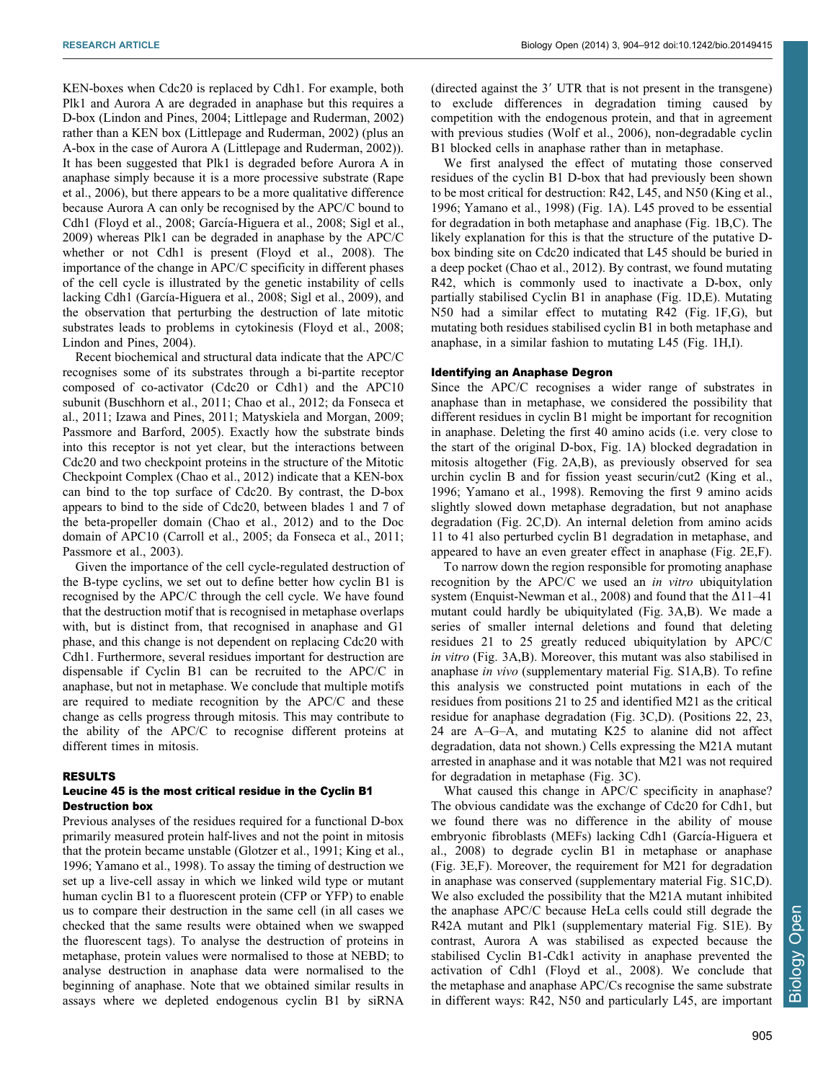KEN-boxes when Cdc20 is replaced by Cdh1. For example, both Plk1 and Aurora A are degraded in anaphase but this requires a D-box ([Lindon and Pines, 2004](#page-7-0); [Littlepage and Ruderman, 2002\)](#page-7-0) rather than a KEN box ([Littlepage and Ruderman, 2002\)](#page-7-0) (plus an A-box in the case of Aurora A ([Littlepage and Ruderman, 2002](#page-7-0))). It has been suggested that Plk1 is degraded before Aurora A in anaphase simply because it is a more processive substrate [\(Rape](#page-7-0) [et al., 2006](#page-7-0)), but there appears to be a more qualitative difference because Aurora A can only be recognised by the APC/C bound to Cdh1 [\(Floyd et al., 2008](#page-7-0); García-Higuera et al., 2008; Sigl et al., [2009\)](#page-7-0) whereas Plk1 can be degraded in anaphase by the APC/C whether or not Cdh1 is present [\(Floyd et al., 2008](#page-7-0)). The importance of the change in APC/C specificity in different phases of the cell cycle is illustrated by the genetic instability of cells lacking Cdh1 (García-Higuera et al., 2008; Sigl et al., 2009), and the observation that perturbing the destruction of late mitotic substrates leads to problems in cytokinesis ([Floyd et al., 2008](#page-7-0); [Lindon and Pines, 2004](#page-7-0)).

Recent biochemical and structural data indicate that the APC/C recognises some of its substrates through a bi-partite receptor composed of co-activator (Cdc20 or Cdh1) and the APC10 subunit ([Buschhorn et al., 2011; Chao et al., 2012; da Fonseca et](#page-7-0) [al., 2011](#page-7-0); [Izawa and Pines, 2011; Matyskiela and Morgan, 2009](#page-7-0); [Passmore and Barford, 2005\)](#page-7-0). Exactly how the substrate binds into this receptor is not yet clear, but the interactions between Cdc20 and two checkpoint proteins in the structure of the Mitotic Checkpoint Complex [\(Chao et al., 2012](#page-7-0)) indicate that a KEN-box can bind to the top surface of Cdc20. By contrast, the D-box appears to bind to the side of Cdc20, between blades 1 and 7 of the beta-propeller domain ([Chao et al., 2012](#page-7-0)) and to the Doc domain of APC10 ([Carroll et al., 2005; da Fonseca et al., 2011](#page-7-0); [Passmore et al., 2003](#page-7-0)).

Given the importance of the cell cycle-regulated destruction of the B-type cyclins, we set out to define better how cyclin B1 is recognised by the APC/C through the cell cycle. We have found that the destruction motif that is recognised in metaphase overlaps with, but is distinct from, that recognised in anaphase and G1 phase, and this change is not dependent on replacing Cdc20 with Cdh1. Furthermore, several residues important for destruction are dispensable if Cyclin B1 can be recruited to the APC/C in anaphase, but not in metaphase. We conclude that multiple motifs are required to mediate recognition by the APC/C and these change as cells progress through mitosis. This may contribute to the ability of the APC/C to recognise different proteins at different times in mitosis.

#### RESULTS

#### Leucine 45 is the most critical residue in the Cyclin B1 Destruction box

Previous analyses of the residues required for a functional D-box primarily measured protein half-lives and not the point in mitosis that the protein became unstable ([Glotzer et al., 1991](#page-7-0); [King et al.,](#page-7-0) [1996;](#page-7-0) [Yamano et al., 1998](#page-8-0)). To assay the timing of destruction we set up a live-cell assay in which we linked wild type or mutant human cyclin B1 to a fluorescent protein (CFP or YFP) to enable us to compare their destruction in the same cell (in all cases we checked that the same results were obtained when we swapped the fluorescent tags). To analyse the destruction of proteins in metaphase, protein values were normalised to those at NEBD; to analyse destruction in anaphase data were normalised to the beginning of anaphase. Note that we obtained similar results in assays where we depleted endogenous cyclin B1 by siRNA

(directed against the  $3'$  UTR that is not present in the transgene) to exclude differences in degradation timing caused by competition with the endogenous protein, and that in agreement with previous studies ([Wolf et al., 2006](#page-7-0)), non-degradable cyclin B1 blocked cells in anaphase rather than in metaphase.

We first analysed the effect of mutating those conserved residues of the cyclin B1 D-box that had previously been shown to be most critical for destruction: R42, L45, and N50 ([King et al.,](#page-7-0) [1996;](#page-7-0) [Yamano et al., 1998\)](#page-8-0) ([Fig. 1A](#page-2-0)). L45 proved to be essential for degradation in both metaphase and anaphase [\(Fig. 1B,C](#page-2-0)). The likely explanation for this is that the structure of the putative Dbox binding site on Cdc20 indicated that L45 should be buried in a deep pocket ([Chao et al., 2012](#page-7-0)). By contrast, we found mutating R42, which is commonly used to inactivate a D-box, only partially stabilised Cyclin B1 in anaphase [\(Fig. 1D,E](#page-2-0)). Mutating N50 had a similar effect to mutating R42 [\(Fig. 1F,G](#page-2-0)), but mutating both residues stabilised cyclin B1 in both metaphase and anaphase, in a similar fashion to mutating L45 ([Fig. 1H,I\)](#page-2-0).

#### Identifying an Anaphase Degron

Since the APC/C recognises a wider range of substrates in anaphase than in metaphase, we considered the possibility that different residues in cyclin B1 might be important for recognition in anaphase. Deleting the first 40 amino acids (i.e. very close to the start of the original D-box, [Fig. 1A](#page-2-0)) blocked degradation in mitosis altogether ([Fig. 2A,B\)](#page-3-0), as previously observed for sea urchin cyclin B and for fission yeast securin/cut2 [\(King et al.,](#page-7-0) [1996;](#page-7-0) [Yamano et al., 1998\)](#page-8-0). Removing the first 9 amino acids slightly slowed down metaphase degradation, but not anaphase degradation [\(Fig. 2C,D\)](#page-3-0). An internal deletion from amino acids 11 to 41 also perturbed cyclin B1 degradation in metaphase, and appeared to have an even greater effect in anaphase [\(Fig. 2E,F](#page-3-0)).

To narrow down the region responsible for promoting anaphase recognition by the APC/C we used an in vitro ubiquitylation system ([Enquist-Newman et al., 2008\)](#page-7-0) and found that the  $\Delta 11-41$ mutant could hardly be ubiquitylated [\(Fig. 3A,B](#page-4-0)). We made a series of smaller internal deletions and found that deleting residues 21 to 25 greatly reduced ubiquitylation by APC/C in vitro ([Fig. 3A,B](#page-4-0)). Moreover, this mutant was also stabilised in anaphase in vivo ([supplementary material Fig. S1A,B\)](http://bio.biologists.org/lookup/suppl/doi:10.1242/bio.20149415/-/DC1). To refine this analysis we constructed point mutations in each of the residues from positions 21 to 25 and identified M21 as the critical residue for anaphase degradation [\(Fig. 3C,D\)](#page-4-0). (Positions 22, 23, 24 are A–G–A, and mutating K25 to alanine did not affect degradation, data not shown.) Cells expressing the M21A mutant arrested in anaphase and it was notable that M21 was not required for degradation in metaphase ([Fig. 3C](#page-4-0)).

What caused this change in APC/C specificity in anaphase? The obvious candidate was the exchange of Cdc20 for Cdh1, but we found there was no difference in the ability of mouse embryonic fibroblasts (MEFs) lacking Cdh1 (García-Higuera et [al., 2008](#page-7-0)) to degrade cyclin B1 in metaphase or anaphase ([Fig. 3E,F](#page-4-0)). Moreover, the requirement for M21 for degradation in anaphase was conserved ([supplementary material Fig. S1C,D](http://bio.biologists.org/lookup/suppl/doi:10.1242/bio.20149415/-/DC1)). We also excluded the possibility that the M21A mutant inhibited the anaphase APC/C because HeLa cells could still degrade the R42A mutant and Plk1 [\(supplementary material Fig. S1E](http://bio.biologists.org/lookup/suppl/doi:10.1242/bio.20149415/-/DC1)). By contrast, Aurora A was stabilised as expected because the stabilised Cyclin B1-Cdk1 activity in anaphase prevented the activation of Cdh1 ([Floyd et al., 2008\)](#page-7-0). We conclude that the metaphase and anaphase APC/Cs recognise the same substrate in different ways: R42, N50 and particularly L45, are important

Open Biology OpenBiology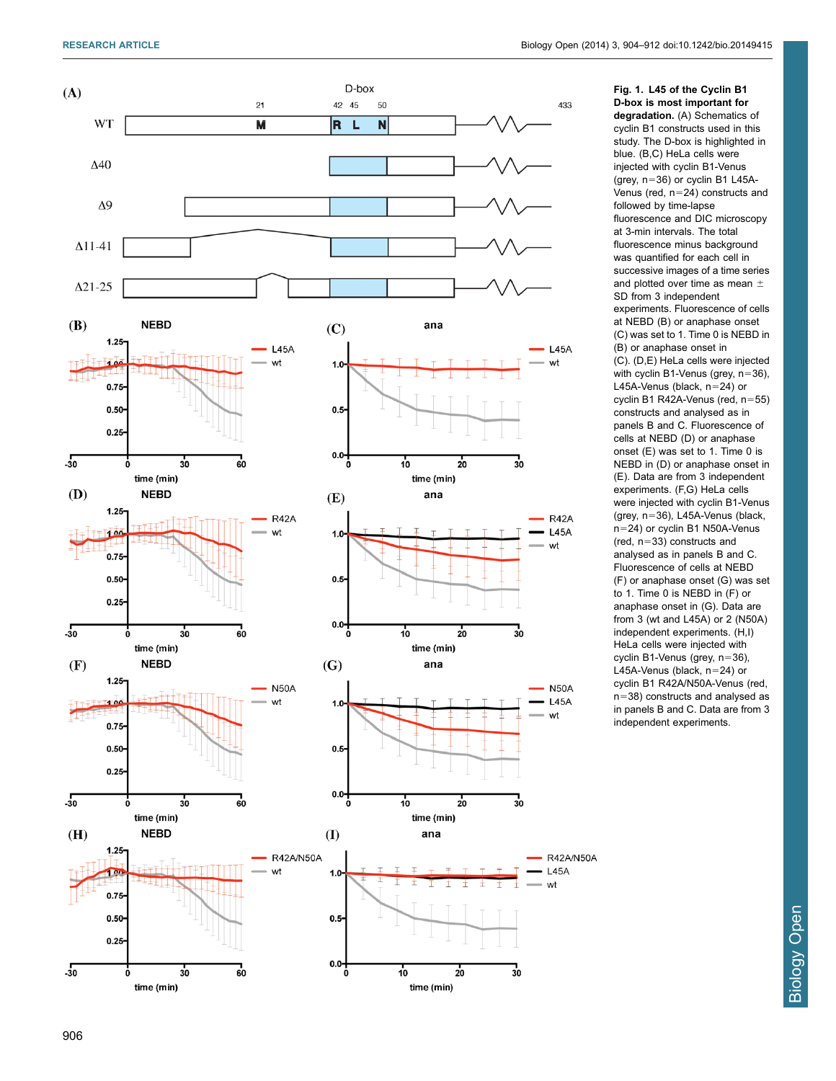Fig. 1. L45 of the Cyclin B1

<span id="page-2-0"></span>

D-box is most important for degradation. (A) Schematics of cyclin B1 constructs used in this study. The D-box is highlighted in blue. (B,C) HeLa cells were injected with cyclin B1-Venus (grey, n 536) or cyclin B1 L45A-Venus (red,  $n=24$ ) constructs and followed by time-lapse fluorescence and DIC microscopy at 3-min intervals. The total fluorescence minus background was quantified for each cell in successive images of a time series and plotted over time as mean  $\pm$ SD from 3 independent experiments. Fluorescence of cells at NEBD (B) or anaphase onset (C) was set to 1. Time 0 is NEBD in (B) or anaphase onset in (C). (D,E) HeLa cells were injected with cyclin B1-Venus (grey, n 536), L45A-Venus (black, n 524) or cyclin B1 R42A-Venus (red, n 555) constructs and analysed as in panels B and C. Fluorescence of cells at NEBD (D) or anaphase onset (E) was set to 1. Time 0 is NEBD in (D) or anaphase onset in (E). Data are from 3 independent experiments. (F,G) HeLa cells were injected with cyclin B1-Venus (grey, n 536), L45A-Venus (black, n 524) or cyclin B1 N50A-Venus (red, n 533) constructs and analysed as in panels B and C. Fluorescence of cells at NEBD (F) or anaphase onset (G) was set to 1. Time 0 is NEBD in (F) or anaphase onset in (G). Data are from 3 (wt and L45A) or 2 (N50A) independent experiments. (H,I) HeLa cells were injected with cyclin B1-Venus (grey, n 536), L45A-Venus (black, n 524) or cyclin B1 R42A/N50A-Venus (red,  $n=38$ ) constructs and analysed as in panels B and C. Data are from 3 independent experiments.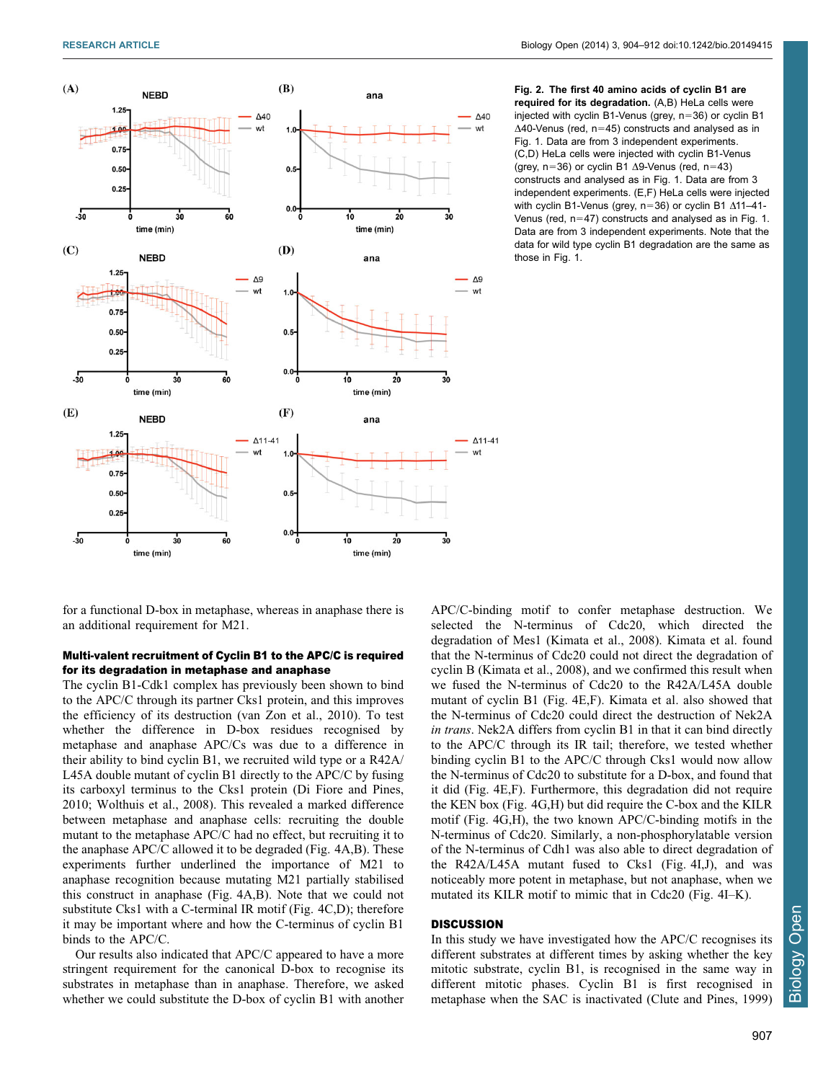<span id="page-3-0"></span>

Fig. 2. The first 40 amino acids of cyclin B1 are required for its degradation. (A,B) HeLa cells were injected with cyclin B1-Venus (grey,  $n=36$ ) or cyclin B1  $\Delta$ 40-Venus (red, n=45) constructs and analysed as in [Fig. 1.](#page-2-0) Data are from 3 independent experiments. (C,D) HeLa cells were injected with cyclin B1-Venus (grey, n=36) or cyclin B1  $\Delta$ 9-Venus (red, n=43) constructs and analysed as in [Fig. 1.](#page-2-0) Data are from 3 independent experiments. (E,F) HeLa cells were injected with cyclin B1-Venus (grey,  $n=36$ ) or cyclin B1  $\Delta$ 11–41-Venus (red,  $n=47$ ) constructs and analysed as in [Fig. 1.](#page-2-0) Data are from 3 independent experiments. Note that the data for wild type cyclin B1 degradation are the same as those in [Fig. 1.](#page-2-0)

for a functional D-box in metaphase, whereas in anaphase there is an additional requirement for M21.

## Multi-valent recruitment of Cyclin B1 to the APC/C is required for its degradation in metaphase and anaphase

The cyclin B1-Cdk1 complex has previously been shown to bind to the APC/C through its partner Cks1 protein, and this improves the efficiency of its destruction [\(van Zon et al., 2010\)](#page-7-0). To test whether the difference in D-box residues recognised by metaphase and anaphase APC/Cs was due to a difference in their ability to bind cyclin B1, we recruited wild type or a R42A/ L45A double mutant of cyclin B1 directly to the APC/C by fusing its carboxyl terminus to the Cks1 protein ([Di Fiore and Pines,](#page-7-0) [2010;](#page-7-0) [Wolthuis et al., 2008](#page-8-0)). This revealed a marked difference between metaphase and anaphase cells: recruiting the double mutant to the metaphase APC/C had no effect, but recruiting it to the anaphase APC/C allowed it to be degraded [\(Fig. 4A,B](#page-5-0)). These experiments further underlined the importance of M21 to anaphase recognition because mutating M21 partially stabilised this construct in anaphase [\(Fig. 4A,B\)](#page-5-0). Note that we could not substitute Cks1 with a C-terminal IR motif ([Fig. 4C,D](#page-5-0)); therefore it may be important where and how the C-terminus of cyclin B1 binds to the APC/C.

Our results also indicated that APC/C appeared to have a more stringent requirement for the canonical D-box to recognise its substrates in metaphase than in anaphase. Therefore, we asked whether we could substitute the D-box of cyclin B1 with another

APC/C-binding motif to confer metaphase destruction. We selected the N-terminus of Cdc20, which directed the degradation of Mes1 [\(Kimata et al., 2008\)](#page-7-0). Kimata et al. found that the N-terminus of Cdc20 could not direct the degradation of cyclin B [\(Kimata et al., 2008](#page-7-0)), and we confirmed this result when we fused the N-terminus of Cdc20 to the R42A/L45A double mutant of cyclin B1 [\(Fig. 4E,F](#page-5-0)). Kimata et al. also showed that the N-terminus of Cdc20 could direct the destruction of Nek2A in trans. Nek2A differs from cyclin B1 in that it can bind directly to the APC/C through its IR tail; therefore, we tested whether binding cyclin B1 to the APC/C through Cks1 would now allow the N-terminus of Cdc20 to substitute for a D-box, and found that it did [\(Fig. 4E,F\)](#page-5-0). Furthermore, this degradation did not require the KEN box [\(Fig. 4G,H](#page-5-0)) but did require the C-box and the KILR motif [\(Fig. 4G,H\)](#page-5-0), the two known APC/C-binding motifs in the N-terminus of Cdc20. Similarly, a non-phosphorylatable version of the N-terminus of Cdh1 was also able to direct degradation of the R42A/L45A mutant fused to Cks1 ([Fig. 4I,J\)](#page-5-0), and was noticeably more potent in metaphase, but not anaphase, when we mutated its KILR motif to mimic that in Cdc20 ([Fig. 4I–K](#page-5-0)).

## **DISCUSSION**

In this study we have investigated how the APC/C recognises its different substrates at different times by asking whether the key mitotic substrate, cyclin B1, is recognised in the same way in different mitotic phases. Cyclin B1 is first recognised in metaphase when the SAC is inactivated ([Clute and Pines, 1999\)](#page-7-0)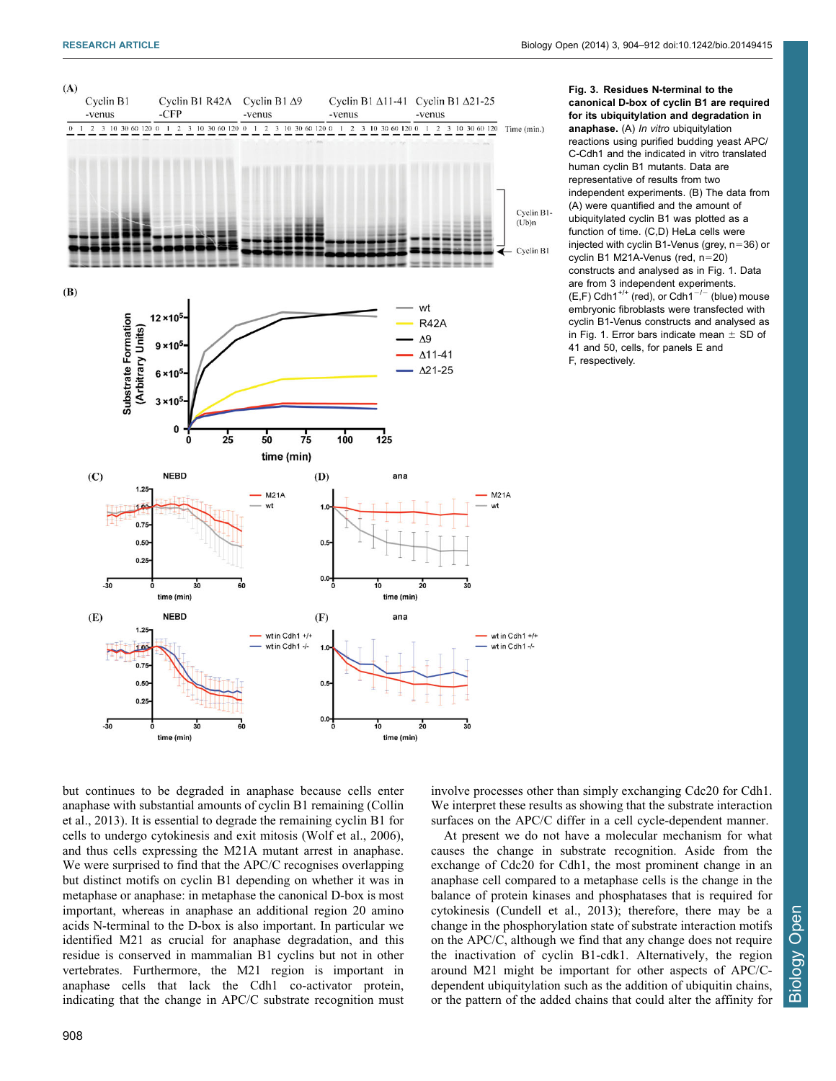<span id="page-4-0"></span>

Fig. 3. Residues N-terminal to the canonical D-box of cyclin B1 are required for its ubiquitylation and degradation in anaphase. (A) In vitro ubiquitylation reactions using purified budding yeast APC/ C-Cdh1 and the indicated in vitro translated human cyclin B1 mutants. Data are representative of results from two independent experiments. (B) The data from (A) were quantified and the amount of ubiquitylated cyclin B1 was plotted as a function of time. (C,D) HeLa cells were injected with cyclin B1-Venus (grey,  $n=36$ ) or cyclin B1 M21A-Venus (red,  $n=20$ ) constructs and analysed as in [Fig. 1.](#page-2-0) Data are from 3 independent experiments.  $(E,F)$  Cdh1<sup>+/+</sup> (red), or Cdh1<sup>-/-</sup> (blue) mouse embryonic fibroblasts were transfected with cyclin B1-Venus constructs and analysed as in [Fig. 1.](#page-2-0) Error bars indicate mean  $\pm$  SD of 41 and 50, cells, for panels E and F, respectively.

but continues to be degraded in anaphase because cells enter anaphase with substantial amounts of cyclin B1 remaining [\(Collin](#page-7-0) [et al., 2013](#page-7-0)). It is essential to degrade the remaining cyclin B1 for cells to undergo cytokinesis and exit mitosis [\(Wolf et al., 2006](#page-7-0)), and thus cells expressing the M21A mutant arrest in anaphase. We were surprised to find that the APC/C recognises overlapping but distinct motifs on cyclin B1 depending on whether it was in metaphase or anaphase: in metaphase the canonical D-box is most important, whereas in anaphase an additional region 20 amino acids N-terminal to the D-box is also important. In particular we identified M21 as crucial for anaphase degradation, and this residue is conserved in mammalian B1 cyclins but not in other vertebrates. Furthermore, the M21 region is important in anaphase cells that lack the Cdh1 co-activator protein, indicating that the change in APC/C substrate recognition must

involve processes other than simply exchanging Cdc20 for Cdh1. We interpret these results as showing that the substrate interaction surfaces on the APC/C differ in a cell cycle-dependent manner.

At present we do not have a molecular mechanism for what causes the change in substrate recognition. Aside from the exchange of Cdc20 for Cdh1, the most prominent change in an anaphase cell compared to a metaphase cells is the change in the balance of protein kinases and phosphatases that is required for cytokinesis ([Cundell et al., 2013](#page-7-0)); therefore, there may be a change in the phosphorylation state of substrate interaction motifs on the APC/C, although we find that any change does not require the inactivation of cyclin B1-cdk1. Alternatively, the region around M21 might be important for other aspects of APC/Cdependent ubiquitylation such as the addition of ubiquitin chains, or the pattern of the added chains that could alter the affinity for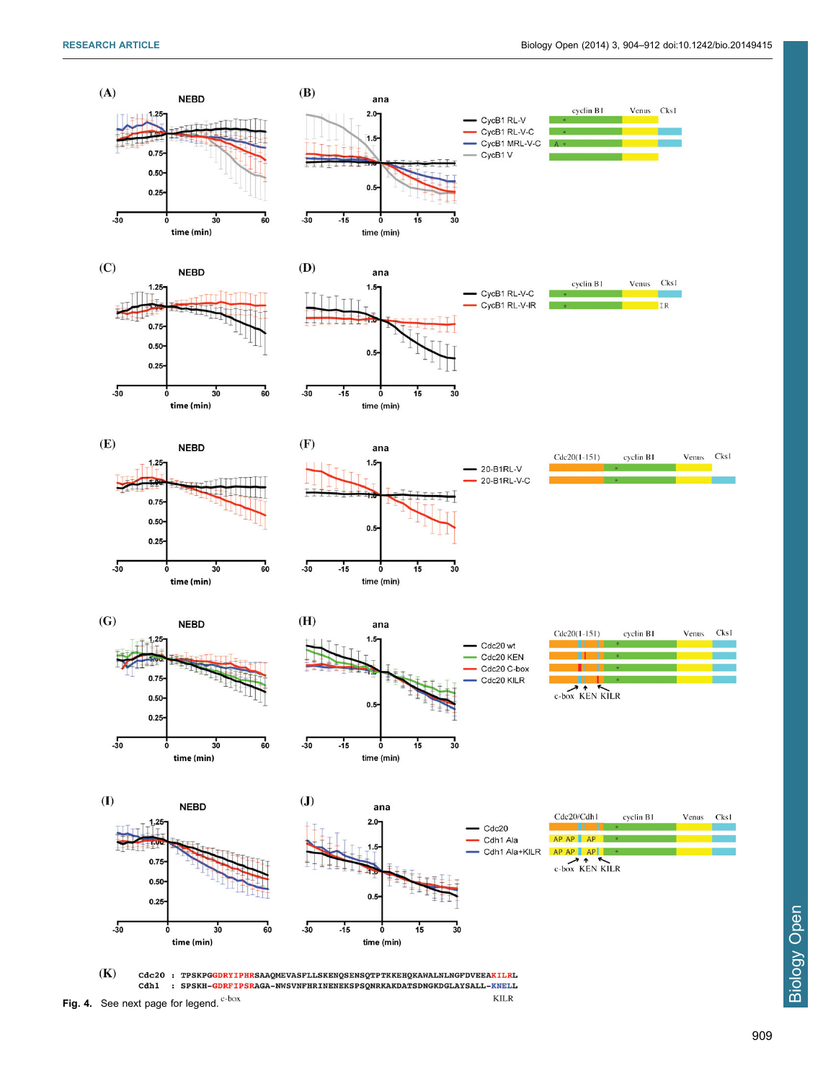<span id="page-5-0"></span>

Fig. 4. See next page for legend.  $e^{-b\alpha x}$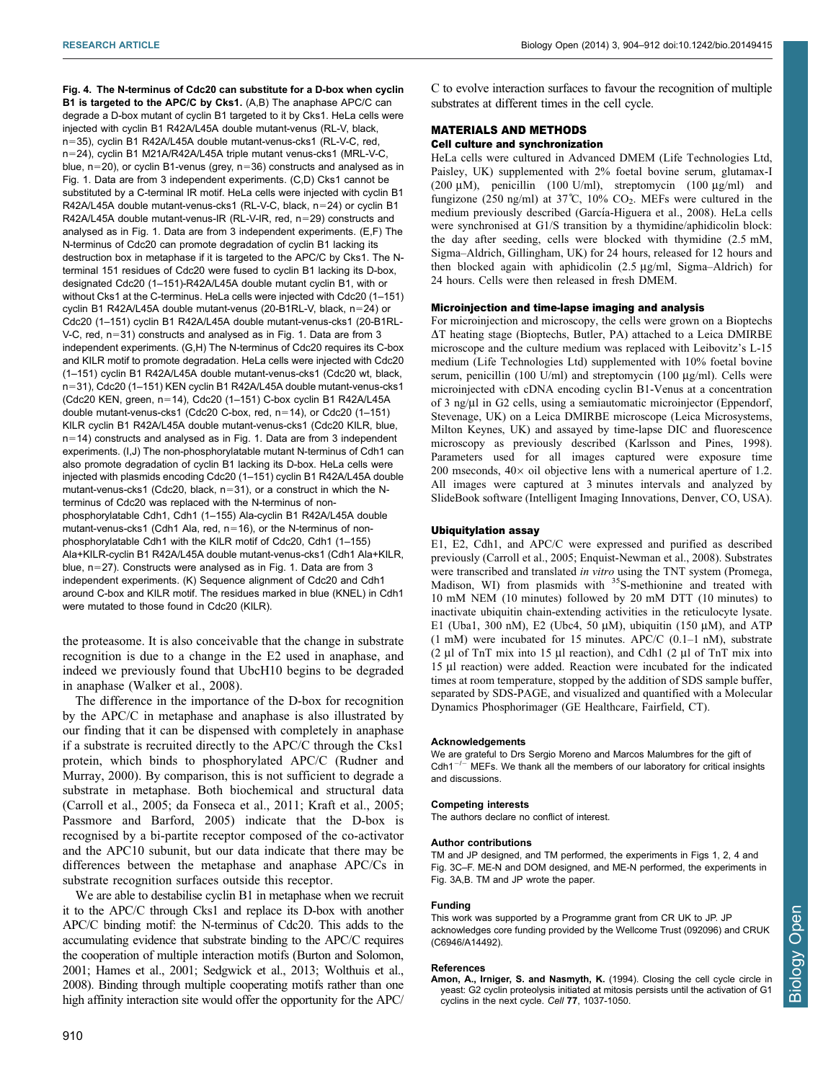<span id="page-6-0"></span>Fig. 4. The N-terminus of Cdc20 can substitute for a D-box when cyclin B1 is targeted to the APC/C by Cks1. (A,B) The anaphase APC/C can degrade a D-box mutant of cyclin B1 targeted to it by Cks1. HeLa cells were injected with cyclin B1 R42A/L45A double mutant-venus (RL-V, black, n=35), cyclin B1 R42A/L45A double mutant-venus-cks1 (RL-V-C, red, n=24), cyclin B1 M21A/R42A/L45A triple mutant venus-cks1 (MRL-V-C, blue,  $n=20$ ), or cyclin B1-venus (grey,  $n=36$ ) constructs and analysed as in [Fig. 1.](#page-2-0) Data are from 3 independent experiments. (C,D) Cks1 cannot be substituted by a C-terminal IR motif. HeLa cells were injected with cyclin B1 R42A/L45A double mutant-venus-cks1 (RL-V-C, black,  $n=24$ ) or cyclin B1 R42A/L45A double mutant-venus-IR (RL-V-IR, red, n=29) constructs and analysed as in [Fig. 1.](#page-2-0) Data are from 3 independent experiments. (E,F) The N-terminus of Cdc20 can promote degradation of cyclin B1 lacking its destruction box in metaphase if it is targeted to the APC/C by Cks1. The Nterminal 151 residues of Cdc20 were fused to cyclin B1 lacking its D-box, designated Cdc20 (1–151)-R42A/L45A double mutant cyclin B1, with or without Cks1 at the C-terminus. HeLa cells were injected with Cdc20 (1–151) cyclin B1 R42A/L45A double mutant-venus (20-B1RL-V, black,  $n=24$ ) or Cdc20 (1–151) cyclin B1 R42A/L45A double mutant-venus-cks1 (20-B1RL-V-C, red,  $n=31$ ) constructs and analysed as in [Fig. 1](#page-2-0). Data are from 3 independent experiments. (G,H) The N-terminus of Cdc20 requires its C-box and KILR motif to promote degradation. HeLa cells were injected with Cdc20 (1–151) cyclin B1 R42A/L45A double mutant-venus-cks1 (Cdc20 wt, black, n=31), Cdc20 (1-151) KEN cyclin B1 R42A/L45A double mutant-venus-cks1 (Cdc20 KEN, green, n=14), Cdc20 (1-151) C-box cyclin B1 R42A/L45A double mutant-venus-cks1 (Cdc20 C-box, red, n=14), or Cdc20 (1-151) KILR cyclin B1 R42A/L45A double mutant-venus-cks1 (Cdc20 KILR, blue,  $n=14$ ) constructs and analysed as in [Fig. 1](#page-2-0). Data are from 3 independent experiments. (I,J) The non-phosphorylatable mutant N-terminus of Cdh1 can also promote degradation of cyclin B1 lacking its D-box. HeLa cells were injected with plasmids encoding Cdc20 (1–151) cyclin B1 R42A/L45A double mutant-venus-cks1 (Cdc20, black,  $n=31$ ), or a construct in which the Nterminus of Cdc20 was replaced with the N-terminus of nonphosphorylatable Cdh1, Cdh1 (1–155) Ala-cyclin B1 R42A/L45A double mutant-venus-cks1 (Cdh1 Ala, red,  $n=16$ ), or the N-terminus of nonphosphorylatable Cdh1 with the KILR motif of Cdc20, Cdh1 (1–155) Ala+KILR-cyclin B1 R42A/L45A double mutant-venus-cks1 (Cdh1 Ala+KILR, blue, n=27). Constructs were analysed as in [Fig. 1](#page-2-0). Data are from 3 independent experiments. (K) Sequence alignment of Cdc20 and Cdh1 around C-box and KILR motif. The residues marked in blue (KNEL) in Cdh1 were mutated to those found in Cdc20 (KILR).

the proteasome. It is also conceivable that the change in substrate recognition is due to a change in the E2 used in anaphase, and indeed we previously found that UbcH10 begins to be degraded in anaphase [\(Walker et al., 2008](#page-7-0)).

The difference in the importance of the D-box for recognition by the APC/C in metaphase and anaphase is also illustrated by our finding that it can be dispensed with completely in anaphase if a substrate is recruited directly to the APC/C through the Cks1 protein, which binds to phosphorylated APC/C ([Rudner and](#page-7-0) [Murray, 2000](#page-7-0)). By comparison, this is not sufficient to degrade a substrate in metaphase. Both biochemical and structural data ([Carroll et al., 2005](#page-7-0); [da Fonseca et al., 2011; Kraft et al., 2005](#page-7-0); [Passmore and Barford, 2005\)](#page-7-0) indicate that the D-box is recognised by a bi-partite receptor composed of the co-activator and the APC10 subunit, but our data indicate that there may be differences between the metaphase and anaphase APC/Cs in substrate recognition surfaces outside this receptor.

We are able to destabilise cyclin B1 in metaphase when we recruit it to the APC/C through Cks1 and replace its D-box with another APC/C binding motif: the N-terminus of Cdc20. This adds to the accumulating evidence that substrate binding to the APC/C requires the cooperation of multiple interaction motifs [\(Burton and Solomon,](#page-7-0) [2001; Hames et al., 2001](#page-7-0); [Sedgwick et al., 2013](#page-7-0); [Wolthuis et al.,](#page-8-0) [2008\)](#page-8-0). Binding through multiple cooperating motifs rather than one high affinity interaction site would offer the opportunity for the APC/ C to evolve interaction surfaces to favour the recognition of multiple substrates at different times in the cell cycle.

## MATERIALS AND METHODS Cell culture and synchronization

HeLa cells were cultured in Advanced DMEM (Life Technologies Ltd, Paisley, UK) supplemented with 2% foetal bovine serum, glutamax-I (200  $\mu$ M), penicillin (100 U/ml), streptomycin (100  $\mu$ g/ml) and fungizone (250 ng/ml) at 37°C, 10%  $CO<sub>2</sub>$ . MEFs were cultured in the medium previously described (García-Higuera et al., 2008). HeLa cells were synchronised at G1/S transition by a thymidine/aphidicolin block: the day after seeding, cells were blocked with thymidine (2.5 mM, Sigma–Aldrich, Gillingham, UK) for 24 hours, released for 12 hours and then blocked again with aphidicolin  $(2.5 \text{ µg/ml}, \text{Sigma-Aldrich})$  for 24 hours. Cells were then released in fresh DMEM.

#### Microinjection and time-lapse imaging and analysis

For microinjection and microscopy, the cells were grown on a Bioptechs  $\Delta T$  heating stage (Bioptechs, Butler, PA) attached to a Leica DMIRBE microscope and the culture medium was replaced with Leibovitz's L-15 medium (Life Technologies Ltd) supplemented with 10% foetal bovine serum, penicillin (100 U/ml) and streptomycin (100  $\mu$ g/ml). Cells were microinjected with cDNA encoding cyclin B1-Venus at a concentration of 3 ng/µl in G2 cells, using a semiautomatic microinjector (Eppendorf, Stevenage, UK) on a Leica DMIRBE microscope (Leica Microsystems, Milton Keynes, UK) and assayed by time-lapse DIC and fluorescence microscopy as previously described ([Karlsson and Pines, 1998\)](#page-7-0). Parameters used for all images captured were exposure time 200 mseconds,  $40 \times$  oil objective lens with a numerical aperture of 1.2. All images were captured at 3 minutes intervals and analyzed by SlideBook software (Intelligent Imaging Innovations, Denver, CO, USA).

#### Ubiquitylation assay

E1, E2, Cdh1, and APC/C were expressed and purified as described previously ([Carroll et al., 2005](#page-7-0); [Enquist-Newman et al., 2008\)](#page-7-0). Substrates were transcribed and translated in vitro using the TNT system (Promega, Madison, WI) from plasmids with <sup>35</sup>S-methionine and treated with 10 mM NEM (10 minutes) followed by 20 mM DTT (10 minutes) to inactivate ubiquitin chain-extending activities in the reticulocyte lysate. E1 (Uba1, 300 nM), E2 (Ubc4, 50  $\mu$ M), ubiquitin (150  $\mu$ M), and ATP  $(1 \text{ mM})$  were incubated for 15 minutes. APC/C  $(0.1-1 \text{ nM})$ , substrate (2  $\mu$ l of TnT mix into 15  $\mu$ l reaction), and Cdh1 (2  $\mu$ l of TnT mix into 15 ml reaction) were added. Reaction were incubated for the indicated times at room temperature, stopped by the addition of SDS sample buffer, separated by SDS-PAGE, and visualized and quantified with a Molecular Dynamics Phosphorimager (GE Healthcare, Fairfield, CT).

#### Acknowledgements

We are grateful to Drs Sergio Moreno and Marcos Malumbres for the gift of Cdh1 $^{-/-}$  MEFs. We thank all the members of our laboratory for critical insights and discussions.

#### Competing interests

The authors declare no conflict of interest.

#### Author contributions

TM and JP designed, and TM performed, the experiments in Figs 1, 2, 4 and Fig. 3C–F. ME-N and DOM designed, and ME-N performed, the experiments in Fig. 3A,B. TM and JP wrote the paper.

#### Funding

This work was supported by a Programme grant from CR UK to JP. JP acknowledges core funding provided by the Wellcome Trust (092096) and CRUK (C6946/A14492).

#### **References**

[Amon, A., Irniger, S. and Nasmyth, K.](http://dx.doi.org/10.1016/0092-8674(94)90443-X) (1994). Closing the cell cycle circle ir [yeast: G2 cyclin proteolysis initiated at mitosis persists until the activation of G1](http://dx.doi.org/10.1016/0092-8674(94)90443-X) [cyclins in the next cycle.](http://dx.doi.org/10.1016/0092-8674(94)90443-X) Cell 77, 1037-1050.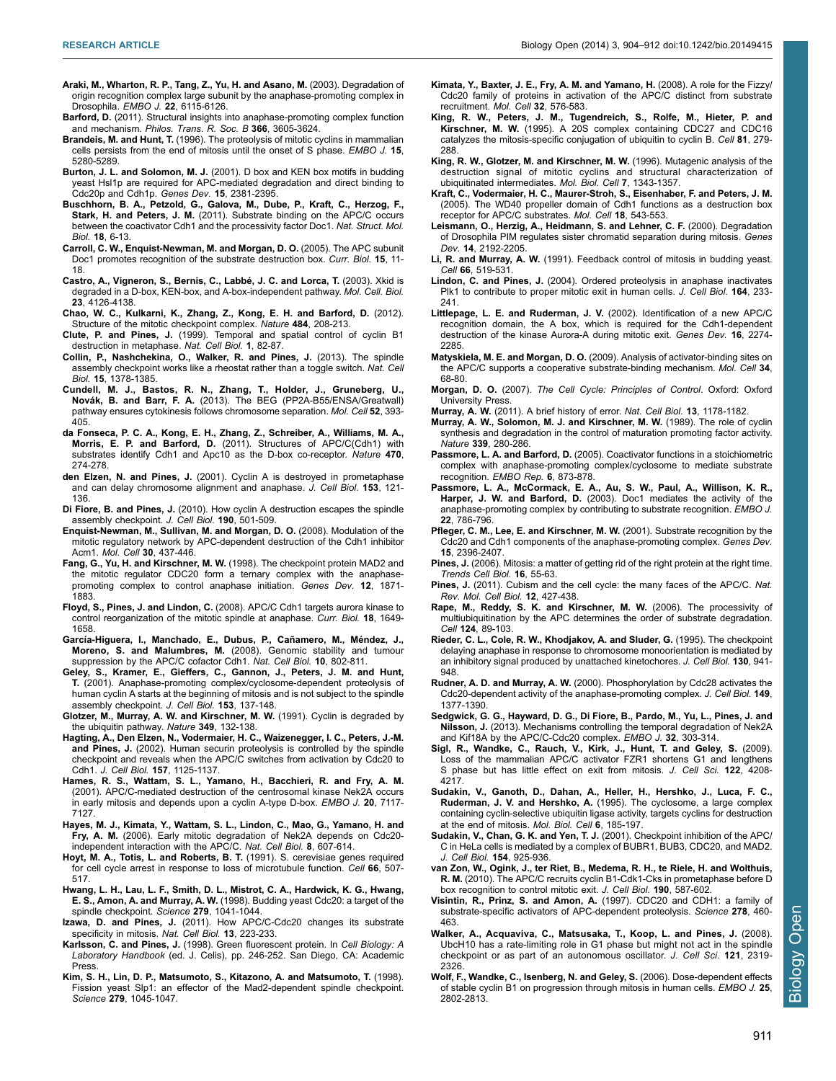- <span id="page-7-0"></span>[Araki, M., Wharton, R. P., Tang, Z., Yu, H. and Asano, M.](http://dx.doi.org/10.1093/emboj/cdg573) (2003). Degradation of [origin recognition complex large subunit by the anaphase-promoting complex in](http://dx.doi.org/10.1093/emboj/cdg573) Drosophila. EMBO J. 22[, 6115-6126.](http://dx.doi.org/10.1093/emboj/cdg573)
- Barford, D. [\(2011\). Structural insights into anaphase-promoting complex function](http://dx.doi.org/10.1098/rstb.2011.0069) and mechanism. [Philos. Trans. R. Soc. B](http://dx.doi.org/10.1098/rstb.2011.0069) 366, 3605-3624.
- Brandeis, M. and Hunt, T. (1996). The proteolysis of mitotic cyclins in mammalian cells persists from the end of mitosis until the onset of S phase. EMBO J. 15, 5280-5289.
- Burton, J. L. and Solomon, M. J. [\(2001\). D box and KEN box motifs in budding](http://dx.doi.org/10.1101/gad.917901) [yeast Hsl1p are required for APC-mediated degradation and direct binding to](http://dx.doi.org/10.1101/gad.917901) [Cdc20p and Cdh1p.](http://dx.doi.org/10.1101/gad.917901) Genes Dev. 15, 2381-2395.
- [Buschhorn, B. A., Petzold, G., Galova, M., Dube, P., Kraft, C., Herzog, F.,](http://dx.doi.org/10.1038/nsmb.1979) Stark, H. and Peters, J. M. [\(2011\). Substrate binding on the APC/C occurs](http://dx.doi.org/10.1038/nsmb.1979) [between the coactivator Cdh1 and the processivity factor Doc1.](http://dx.doi.org/10.1038/nsmb.1979) Nat. Struct. Mol. Biol. **18.** 6-13.
- [Carroll, C. W., Enquist-Newman, M. and Morgan, D. O.](http://dx.doi.org/10.1016/j.cub.2004.12.066) (2005). The APC subunit [Doc1 promotes recognition of the substrate destruction box.](http://dx.doi.org/10.1016/j.cub.2004.12.066) Curr. Biol. 15, 11-[18.](http://dx.doi.org/10.1016/j.cub.2004.12.066)
- Castro, A., Vigneron, S., Bernis, C., Labbé, J. C. and Lorca, T. (2003). Xkid is [degraded in a D-box, KEN-box, and A-box-independent pathway.](http://dx.doi.org/10.1128/MCB.23.12.4126-4138.2003) Mol. Cell. Biol. 23[, 4126-4138.](http://dx.doi.org/10.1128/MCB.23.12.4126-4138.2003)
- [Chao, W. C., Kulkarni, K., Zhang, Z., Kong, E. H. and Barford, D.](http://dx.doi.org/10.1038/nature10896) (2012). [Structure of the mitotic checkpoint complex.](http://dx.doi.org/10.1038/nature10896) Nature 484, 208-213.
- Clute, P. and Pines, J. [\(1999\). Temporal and spatial control of cyclin B1](http://dx.doi.org/10.1038/10049) [destruction in metaphase.](http://dx.doi.org/10.1038/10049) Nat. Cell Biol. 1, 82-87.
- [Collin, P., Nashchekina, O., Walker, R. and Pines, J.](http://dx.doi.org/10.1038/ncb2855) (2013). The spindle [assembly checkpoint works like a rheostat rather than a toggle switch.](http://dx.doi.org/10.1038/ncb2855) Nat. Cell Biol. 15[, 1378-1385.](http://dx.doi.org/10.1038/ncb2855)
- [Cundell, M. J., Bastos, R. N., Zhang, T., Holder, J., Gruneberg, U.,](http://dx.doi.org/10.1016/j.molcel.2013.09.005) Novák, B. and Barr, F. A. [\(2013\). The BEG \(PP2A-B55/ENSA/Greatwall\)](http://dx.doi.org/10.1016/j.molcel.2013.09.005) [pathway ensures cytokinesis follows chromosome separation.](http://dx.doi.org/10.1016/j.molcel.2013.09.005) Mol. Cell 52, 393-[405.](http://dx.doi.org/10.1016/j.molcel.2013.09.005)
- [da Fonseca, P. C. A., Kong, E. H., Zhang, Z., Schreiber, A., Williams, M. A.,](http://dx.doi.org/10.1038/nature09625) Morris, E. P. and Barford, D. [\(2011\). Structures of APC/C\(Cdh1\) with](http://dx.doi.org/10.1038/nature09625) [substrates identify Cdh1 and Apc10 as the D-box co-receptor.](http://dx.doi.org/10.1038/nature09625) Nature 470, [274-278.](http://dx.doi.org/10.1038/nature09625)
- den Elzen, N. and Pines, J. [\(2001\). Cyclin A is destroyed in prometaphase](http://dx.doi.org/10.1083/jcb.153.1.121) [and can delay chromosome alignment and anaphase.](http://dx.doi.org/10.1083/jcb.153.1.121) J. Cell Biol. 153, 121- [136.](http://dx.doi.org/10.1083/jcb.153.1.121)
- **Di Fiore, B. and Pines, J.** [\(2010\). How cyclin A destruction escapes the spindle](http://dx.doi.org/10.1083/jcb.201001083) [assembly checkpoint.](http://dx.doi.org/10.1083/jcb.201001083) *J. Cell Biol.* **190**, 501-509.
- [Enquist-Newman, M., Sullivan, M. and Morgan, D. O.](http://dx.doi.org/10.1016/j.molcel.2008.04.004) (2008). Modulation of the [mitotic regulatory network by APC-dependent destruction of the Cdh1 inhibitor](http://dx.doi.org/10.1016/j.molcel.2008.04.004) Acm1. Mol. Cell 30[, 437-446.](http://dx.doi.org/10.1016/j.molcel.2008.04.004)
- Fang, G., Yu, H. and Kirschner, M. W. [\(1998\). The checkpoint protein MAD2 and](http://dx.doi.org/10.1101/gad.12.12.1871) [the mitotic regulator CDC20 form a ternary complex with the anaphase](http://dx.doi.org/10.1101/gad.12.12.1871)[promoting complex to control anaphase initiation.](http://dx.doi.org/10.1101/gad.12.12.1871) Genes Dev. 12, 1871- [1883.](http://dx.doi.org/10.1101/gad.12.12.1871)
- Floyd, S., Pines, J. and Lindon, C. [\(2008\). APC/C Cdh1 targets aurora kinase to](http://dx.doi.org/10.1016/j.cub.2008.09.058) [control reorganization of the mitotic spindle at anaphase.](http://dx.doi.org/10.1016/j.cub.2008.09.058) Curr. Biol. 18, 1649- [1658.](http://dx.doi.org/10.1016/j.cub.2008.09.058)
- García-Higuera, I., Manchado, E., Dubus, P., Cañamero, M., Méndez, J., Moreno, S. and Malumbres, M. [\(2008\). Genomic stability and tumour](http://dx.doi.org/10.1038/ncb1742) [suppression by the APC/C cofactor Cdh1.](http://dx.doi.org/10.1038/ncb1742) Nat. Cell Biol. 10, 802-811.
- [Geley, S., Kramer, E., Gieffers, C., Gannon, J., Peters, J. M. and Hunt,](http://dx.doi.org/10.1083/jcb.153.1.137) T. [\(2001\). Anaphase-promoting complex/cyclosome-dependent proteolysis of](http://dx.doi.org/10.1083/jcb.153.1.137) [human cyclin A starts at the beginning of mitosis and is not subject to the spindle](http://dx.doi.org/10.1083/jcb.153.1.137) [assembly checkpoint.](http://dx.doi.org/10.1083/jcb.153.1.137) J. Cell Biol. 153, 137-148.
- [Glotzer, M., Murray, A. W. and Kirschner, M. W.](http://dx.doi.org/10.1038/349132a0) (1991). Cyclin is degraded by [the ubiquitin pathway.](http://dx.doi.org/10.1038/349132a0) Nature 349, 132-138.
- [Hagting, A., Den Elzen, N., Vodermaier, H. C., Waizenegger, I. C., Peters, J.-M.](http://dx.doi.org/10.1083/jcb.200111001) and Pines, J. [\(2002\). Human securin proteolysis is controlled by the spindle](http://dx.doi.org/10.1083/jcb.200111001) [checkpoint and reveals when the APC/C switches from activation by Cdc20 to](http://dx.doi.org/10.1083/jcb.200111001) Cdh1. J. Cell Biol. 157[, 1125-1137.](http://dx.doi.org/10.1083/jcb.200111001)
- [Hames, R. S., Wattam, S. L., Yamano, H., Bacchieri, R. and Fry, A. M.](http://dx.doi.org/10.1093/emboj/20.24.7117) [\(2001\). APC/C-mediated destruction of the centrosomal kinase Nek2A occurs](http://dx.doi.org/10.1093/emboj/20.24.7117) [in early mitosis and depends upon a cyclin A-type D-box.](http://dx.doi.org/10.1093/emboj/20.24.7117) EMBO J. 20, 7117-[7127.](http://dx.doi.org/10.1093/emboj/20.24.7117)
- [Hayes, M. J., Kimata, Y., Wattam, S. L., Lindon, C., Mao, G., Yamano, H. and](http://dx.doi.org/10.1038/ncb1410) Fry, A. M. [\(2006\). Early mitotic degradation of Nek2A depends on Cdc20](http://dx.doi.org/10.1038/ncb1410) [independent interaction with the APC/C.](http://dx.doi.org/10.1038/ncb1410) Nat. Cell Biol. 8, 607-614.
- [Hoyt, M. A., Totis, L. and Roberts, B. T.](http://dx.doi.org/10.1016/0092-8674(81)90014-3) (1991). S. cerevisiae genes required [for cell cycle arrest in response to loss of microtubule function.](http://dx.doi.org/10.1016/0092-8674(81)90014-3) Cell 66, 507-[517.](http://dx.doi.org/10.1016/0092-8674(81)90014-3)
- [Hwang, L. H., Lau, L. F., Smith, D. L., Mistrot, C. A., Hardwick, K. G., Hwang,](http://dx.doi.org/10.1126/science.279.5353.1041) E. S., Amon, A. and Murray, A. W. [\(1998\). Budding yeast Cdc20: a target of the](http://dx.doi.org/10.1126/science.279.5353.1041) [spindle checkpoint.](http://dx.doi.org/10.1126/science.279.5353.1041) Science 279, 1041-1044.
- Izawa, D. and Pines, J. [\(2011\). How APC/C-Cdc20 changes its substrate](http://dx.doi.org/10.1038/ncb2165) [specificity in mitosis.](http://dx.doi.org/10.1038/ncb2165) Nat. Cell Biol. 13, 223-233.
- Karlsson, C. and Pines, J. (1998). Green fluorescent protein. In Cell Biology: A Laboratory Handbook (ed. J. Celis), pp. 246-252. San Diego, CA: Academic Press.
- [Kim, S. H., Lin, D. P., Matsumoto, S., Kitazono, A. and Matsumoto, T.](http://dx.doi.org/10.1126/science.279.5353.1045) (1998). [Fission yeast Slp1: an effector of the Mad2-dependent spindle checkpoint.](http://dx.doi.org/10.1126/science.279.5353.1045) Science 279[, 1045-1047.](http://dx.doi.org/10.1126/science.279.5353.1045)
- [Kimata, Y., Baxter, J. E., Fry, A. M. and Yamano, H.](http://dx.doi.org/10.1016/j.molcel.2008.09.023) (2008). A role for the Fizzy/ [Cdc20 family of proteins in activation of the APC/C distinct from substrate](http://dx.doi.org/10.1016/j.molcel.2008.09.023) [recruitment.](http://dx.doi.org/10.1016/j.molcel.2008.09.023) Mol. Cell 32, 576-583.
- [King, R. W., Peters, J. M., Tugendreich, S., Rolfe, M., Hieter, P. and](http://dx.doi.org/10.1016/0092-8674(95)90338-0) Kirschner, M. W. [\(1995\). A 20S complex containing CDC27 and CDC16](http://dx.doi.org/10.1016/0092-8674(95)90338-0) [catalyzes the mitosis-specific conjugation of ubiquitin to cyclin B.](http://dx.doi.org/10.1016/0092-8674(95)90338-0) Cell 81, 279- [288.](http://dx.doi.org/10.1016/0092-8674(95)90338-0)
- [King, R. W., Glotzer, M. and Kirschner, M. W.](http://dx.doi.org/10.1091/mbc.7.9.1343) (1996). Mutagenic analysis of the [destruction signal of mitotic cyclins and structural characterization of](http://dx.doi.org/10.1091/mbc.7.9.1343) [ubiquitinated intermediates.](http://dx.doi.org/10.1091/mbc.7.9.1343) Mol. Biol. Cell 7, 1343-1357.
- [Kraft, C., Vodermaier, H. C., Maurer-Stroh, S., Eisenhaber, F. and Peters, J. M.](http://dx.doi.org/10.1016/j.molcel.2005.04.023) [\(2005\). The WD40 propeller domain of Cdh1 functions as a destruction box](http://dx.doi.org/10.1016/j.molcel.2005.04.023) [receptor for APC/C substrates.](http://dx.doi.org/10.1016/j.molcel.2005.04.023) Mol. Cell 18, 543-553.
- [Leismann, O., Herzig, A., Heidmann, S. and Lehner, C. F.](http://dx.doi.org/10.1101/gad.176700) (2000). Degradation [of Drosophila PIM regulates sister chromatid separation during mitosis.](http://dx.doi.org/10.1101/gad.176700) Genes Dev. 14[, 2192-2205.](http://dx.doi.org/10.1101/gad.176700)
- Li, R. and Murray, A. W. [\(1991\). Feedback control of mitosis in budding yeast.](http://dx.doi.org/10.1016/0092-8674(81)90015-5) Cell 66[, 519-531.](http://dx.doi.org/10.1016/0092-8674(81)90015-5)
- Lindon, C. and Pines, J. [\(2004\). Ordered proteolysis in anaphase inactivates](http://dx.doi.org/10.1083/jcb.200309035) [Plk1 to contribute to proper mitotic exit in human cells.](http://dx.doi.org/10.1083/jcb.200309035) J. Cell Biol. 164, 233-[241.](http://dx.doi.org/10.1083/jcb.200309035)
- [Littlepage, L. E. and Ruderman, J. V.](http://dx.doi.org/10.1101/gad.1007302) (2002). Identification of a new APC/C [recognition domain, the A box, which is required for the Cdh1-dependent](http://dx.doi.org/10.1101/gad.1007302) [destruction of the kinase Aurora-A during mitotic exit.](http://dx.doi.org/10.1101/gad.1007302) Genes Dev. 16, 2274- [2285.](http://dx.doi.org/10.1101/gad.1007302)
- Matyskiela, M. E. and Morgan, D. O. [\(2009\). Analysis of activator-binding sites on](http://dx.doi.org/10.1016/j.molcel.2009.02.027) [the APC/C supports a cooperative substrate-binding mechanism.](http://dx.doi.org/10.1016/j.molcel.2009.02.027) Mol. Cell 34, [68-80.](http://dx.doi.org/10.1016/j.molcel.2009.02.027)
- Morgan, D. O. (2007). The Cell Cycle: Principles of Control. Oxford: Oxford University Press.
- Murray, A. W. [\(2011\). A brief history of error.](http://dx.doi.org/10.1038/ncb2348) Nat. Cell Biol. 13, 1178-1182.
- [Murray, A. W., Solomon, M. J. and Kirschner, M. W.](http://dx.doi.org/10.1038/339280a0) (1989). The role of cyclin [synthesis and degradation in the control of maturation promoting factor activity.](http://dx.doi.org/10.1038/339280a0) Nature 339[, 280-286.](http://dx.doi.org/10.1038/339280a0)
- Passmore, L. A. and Barford, D. [\(2005\). Coactivator functions in a stoichiometric](http://dx.doi.org/10.1038/sj.embor.7400482) [complex with anaphase-promoting complex/cyclosome to mediate substrate](http://dx.doi.org/10.1038/sj.embor.7400482) recognition. [EMBO Rep.](http://dx.doi.org/10.1038/sj.embor.7400482) 6, 873-878.
- [Passmore, L. A., McCormack, E. A., Au, S. W., Paul, A., Willison, K. R.,](http://dx.doi.org/10.1093/emboj/cdg084) Harper, J. W. and Barford, D. [\(2003\). Doc1 mediates the activity of the](http://dx.doi.org/10.1093/emboj/cdg084) [anaphase-promoting complex by contributing to substrate recognition.](http://dx.doi.org/10.1093/emboj/cdg084) EMBO J. 22[, 786-796.](http://dx.doi.org/10.1093/emboj/cdg084)
- [Pfleger, C. M., Lee, E. and Kirschner, M. W.](http://dx.doi.org/10.1101/gad.918201) (2001). Substrate recognition by the [Cdc20 and Cdh1 components of the anaphase-promoting complex.](http://dx.doi.org/10.1101/gad.918201) Genes Dev. 15[, 2396-2407.](http://dx.doi.org/10.1101/gad.918201)
- Pines, J. [\(2006\). Mitosis: a matter of getting rid of the right protein at the right time.](http://dx.doi.org/10.1016/j.tcb.2005.11.006) [Trends Cell Biol.](http://dx.doi.org/10.1016/j.tcb.2005.11.006) 16, 55-63.
- Pines, J. [\(2011\). Cubism and the cell cycle: the many faces of the APC/C.](http://dx.doi.org/10.1038/nrm3132) Nat. [Rev. Mol. Cell Biol.](http://dx.doi.org/10.1038/nrm3132) 12, 427-438.
- [Rape, M., Reddy, S. K. and Kirschner, M. W.](http://dx.doi.org/10.1016/j.cell.2005.10.032) (2006). The processivity of [multiubiquitination by the APC determines the order of substrate degradation.](http://dx.doi.org/10.1016/j.cell.2005.10.032) Cell 124[, 89-103.](http://dx.doi.org/10.1016/j.cell.2005.10.032)
- [Rieder, C. L., Cole, R. W., Khodjakov, A. and Sluder, G.](http://dx.doi.org/10.1083/jcb.130.4.941) (1995). The checkpoint [delaying anaphase in response to chromosome monoorientation is mediated by](http://dx.doi.org/10.1083/jcb.130.4.941) [an inhibitory signal produced by unattached kinetochores.](http://dx.doi.org/10.1083/jcb.130.4.941) J. Cell Biol. 130, 941-[948.](http://dx.doi.org/10.1083/jcb.130.4.941)
- Rudner, A. D. and Murray, A. W. [\(2000\). Phosphorylation by Cdc28 activates the](http://dx.doi.org/10.1083/jcb.149.7.1377) [Cdc20-dependent activity of the anaphase-promoting complex.](http://dx.doi.org/10.1083/jcb.149.7.1377) J. Cell Biol. 149, [1377-1390.](http://dx.doi.org/10.1083/jcb.149.7.1377)
- [Sedgwick, G. G., Hayward, D. G., Di Fiore, B., Pardo, M., Yu, L., Pines, J. and](http://dx.doi.org/10.1038/emboj.2012.335) Nilsson, J. [\(2013\). Mechanisms controlling the temporal degradation of Nek2A](http://dx.doi.org/10.1038/emboj.2012.335) [and Kif18A by the APC/C-Cdc20 complex.](http://dx.doi.org/10.1038/emboj.2012.335) EMBO J. 32, 303-314.
- [Sigl, R., Wandke, C., Rauch, V., Kirk, J., Hunt, T. and Geley, S.](http://dx.doi.org/10.1242/jcs.054197) (2009). [Loss of the mammalian APC/C activator FZR1 shortens G1 and lengthens](http://dx.doi.org/10.1242/jcs.054197) [S phase but has little effect on exit from mitosis.](http://dx.doi.org/10.1242/jcs.054197) J. Cell Sci. 122, 4208-[4217.](http://dx.doi.org/10.1242/jcs.054197)
- [Sudakin, V., Ganoth, D., Dahan, A., Heller, H., Hershko, J., Luca, F. C.,](http://dx.doi.org/10.1091/mbc.6.2.185) Ruderman, J. V. and Hershko, A. [\(1995\). The cyclosome, a large complex](http://dx.doi.org/10.1091/mbc.6.2.185) [containing cyclin-selective ubiquitin ligase activity, targets cyclins for destruction](http://dx.doi.org/10.1091/mbc.6.2.185) [at the end of mitosis.](http://dx.doi.org/10.1091/mbc.6.2.185) Mol. Biol. Cell 6, 185-197.
- Sudakin, V., Chan, G. K. and Yen, T. J. [\(2001\). Checkpoint inhibition of the APC/](http://dx.doi.org/10.1083/jcb.200102093) [C in HeLa cells is mediated by a complex of BUBR1, BUB3, CDC20, and MAD2.](http://dx.doi.org/10.1083/jcb.200102093) [J. Cell Biol.](http://dx.doi.org/10.1083/jcb.200102093) 154, 925-936.
- [van Zon, W., Ogink, J., ter Riet, B., Medema, R. H., te Riele, H. and Wolthuis,](http://dx.doi.org/10.1083/jcb.200912084) R. M. [\(2010\). The APC/C recruits cyclin B1-Cdk1-Cks in prometaphase before D](http://dx.doi.org/10.1083/jcb.200912084) [box recognition to control mitotic exit.](http://dx.doi.org/10.1083/jcb.200912084) J. Cell Biol. 190, 587-602.
- Visintin, R., Prinz, S. and Amon, A. [\(1997\). CDC20 and CDH1: a family of](http://dx.doi.org/10.1126/science.278.5337.460) [substrate-specific activators of APC-dependent proteolysis.](http://dx.doi.org/10.1126/science.278.5337.460) Science 278, 460- [463.](http://dx.doi.org/10.1126/science.278.5337.460)
- [Walker, A., Acquaviva, C., Matsusaka, T., Koop, L. and Pines, J.](http://dx.doi.org/10.1242/jcs.031591) (2008). [UbcH10 has a rate-limiting role in G1 phase but might not act in the spindle](http://dx.doi.org/10.1242/jcs.031591) [checkpoint or as part of an autonomous oscillator.](http://dx.doi.org/10.1242/jcs.031591) J. Cell Sci. 121, 2319-[2326.](http://dx.doi.org/10.1242/jcs.031591)
- [Wolf, F., Wandke, C., Isenberg, N. and Geley, S.](http://dx.doi.org/10.1038/sj.emboj.7601163) (2006). Dose-dependent effects [of stable cyclin B1 on progression through mitosis in human cells.](http://dx.doi.org/10.1038/sj.emboj.7601163) EMBO J. 25, [2802-2813.](http://dx.doi.org/10.1038/sj.emboj.7601163)